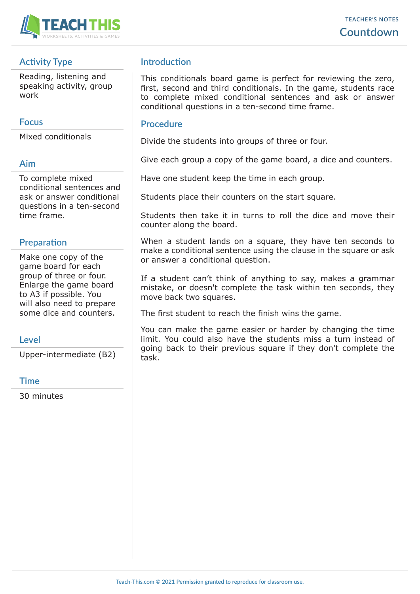

# **Activity Type**

Reading, listening and speaking activity, group work

### **Focus**

Mixed conditionals

#### **Aim**

To complete mixed conditional sentences and ask or answer conditional questions in a ten-second time frame.

## **Preparation**

Make one copy of the game board for each group of three or four. Enlarge the game board to A3 if possible. You will also need to prepare some dice and counters.

## **Level**

Upper-intermediate (B2)

#### **Time**

30 minutes

# **Introduction**

This conditionals board game is perfect for reviewing the zero, first, second and third conditionals. In the game, students race to complete mixed conditional sentences and ask or answer conditional questions in a ten-second time frame.

#### **Procedure**

Divide the students into groups of three or four.

Give each group a copy of the game board, a dice and counters.

Have one student keep the time in each group.

Students place their counters on the start square.

Students then take it in turns to roll the dice and move their counter along the board.

When a student lands on a square, they have ten seconds to make a conditional sentence using the clause in the square or ask or answer a conditional question.

If a student can't think of anything to say, makes a grammar mistake, or doesn't complete the task within ten seconds, they move back two squares.

The first student to reach the finish wins the game.

You can make the game easier or harder by changing the time limit. You could also have the students miss a turn instead of going back to their previous square if they don't complete the task.